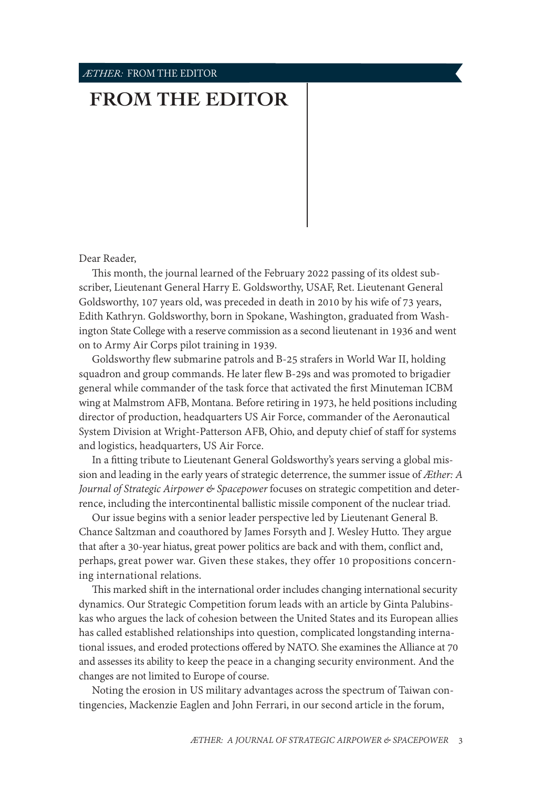## *ÆTHER:* FROM THE EDITOR

## **[FROM THE EDITOR](#page-0-0)**

Dear Reader,

This month, the journal learned of the February 2022 passing of its oldest subscriber, Lieutenant General Harry E. Goldsworthy, USAF, Ret. Lieutenant General Goldsworthy, 107 years old, was preceded in death in 2010 by his wife of 73 years, Edith Kathryn. Goldsworthy, born in Spokane, Washington, graduated from Washington State College with a reserve commission as a second lieutenant in 1936 and went on to Army Air Corps pilot training in 1939.

Goldsworthy flew submarine patrols and B-25 strafers in World War II, holding squadron and group commands. He later flew B-29s and was promoted to brigadier general while commander of the task force that activated the first Minuteman ICBM wing at Malmstrom AFB, Montana. Before retiring in 1973, he held positions including director of production, headquarters US Air Force, commander of the Aeronautical System Division at Wright-Patterson AFB, Ohio, and deputy chief of staff for systems and logistics, headquarters, US Air Force.

In a fitting tribute to Lieutenant General Goldsworthy's years serving a global mission and leading in the early years of strategic deterrence, the summer issue of *Æther: A Journal of Strategic Airpower & Spacepower* focuses on strategic competition and deterrence, including the intercontinental ballistic missile component of the nuclear triad.

Our issue begins with a senior leader perspective led by Lieutenant General B. Chance Saltzman and coauthored by James Forsyth and J. Wesley Hutto. They argue that after a 30-year hiatus, great power politics are back and with them, conflict and, perhaps, great power war. Given these stakes, they offer 10 propositions concerning international relations.

This marked shift in the international order includes changing international security dynamics. Our Strategic Competition forum leads with an article by Ginta Palubinskas who argues the lack of cohesion between the United States and its European allies has called established relationships into question, complicated longstanding international issues, and eroded protections offered by NATO. She examines the Alliance at 70 and assesses its ability to keep the peace in a changing security environment. And the changes are not limited to Europe of course.

<span id="page-0-0"></span>Noting the erosion in US military advantages across the spectrum of Taiwan contingencies, Mackenzie Eaglen and John Ferrari, in our second article in the forum,